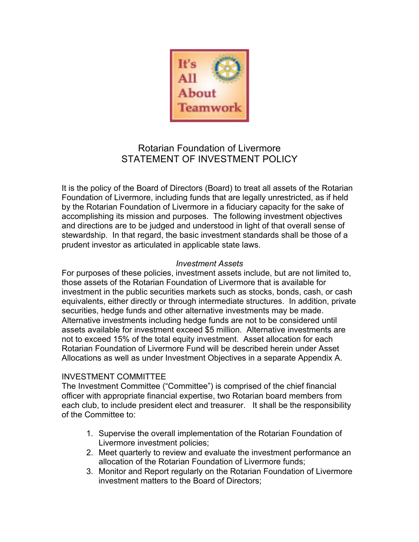

# Rotarian Foundation of Livermore STATEMENT OF INVESTMENT POLICY

It is the policy of the Board of Directors (Board) to treat all assets of the Rotarian Foundation of Livermore, including funds that are legally unrestricted, as if held by the Rotarian Foundation of Livermore in a fiduciary capacity for the sake of accomplishing its mission and purposes. The following investment objectives and directions are to be judged and understood in light of that overall sense of stewardship. In that regard, the basic investment standards shall be those of a prudent investor as articulated in applicable state laws.

#### *Investment Assets*

For purposes of these policies, investment assets include, but are not limited to, those assets of the Rotarian Foundation of Livermore that is available for investment in the public securities markets such as stocks, bonds, cash, or cash equivalents, either directly or through intermediate structures. In addition, private securities, hedge funds and other alternative investments may be made. Alternative investments including hedge funds are not to be considered until assets available for investment exceed \$5 million. Alternative investments are not to exceed 15% of the total equity investment. Asset allocation for each Rotarian Foundation of Livermore Fund will be described herein under Asset Allocations as well as under Investment Objectives in a separate Appendix A.

#### INVESTMENT COMMITTEE

The Investment Committee ("Committee") is comprised of the chief financial officer with appropriate financial expertise, two Rotarian board members from each club, to include president elect and treasurer. It shall be the responsibility of the Committee to:

- 1. Supervise the overall implementation of the Rotarian Foundation of Livermore investment policies;
- 2. Meet quarterly to review and evaluate the investment performance an allocation of the Rotarian Foundation of Livermore funds;
- 3. Monitor and Report regularly on the Rotarian Foundation of Livermore investment matters to the Board of Directors;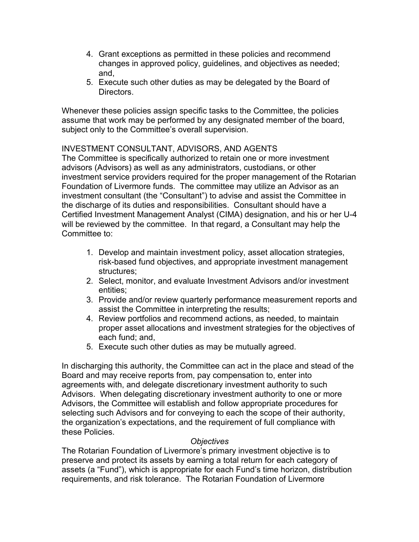- 4. Grant exceptions as permitted in these policies and recommend changes in approved policy, guidelines, and objectives as needed; and,
- 5. Execute such other duties as may be delegated by the Board of Directors.

Whenever these policies assign specific tasks to the Committee, the policies assume that work may be performed by any designated member of the board, subject only to the Committee's overall supervision.

#### INVESTMENT CONSULTANT, ADVISORS, AND AGENTS

The Committee is specifically authorized to retain one or more investment advisors (Advisors) as well as any administrators, custodians, or other investment service providers required for the proper management of the Rotarian Foundation of Livermore funds. The committee may utilize an Advisor as an investment consultant (the "Consultant") to advise and assist the Committee in the discharge of its duties and responsibilities. Consultant should have a Certified Investment Management Analyst (CIMA) designation, and his or her U-4 will be reviewed by the committee. In that regard, a Consultant may help the Committee to:

- 1. Develop and maintain investment policy, asset allocation strategies, risk-based fund objectives, and appropriate investment management structures;
- 2. Select, monitor, and evaluate Investment Advisors and/or investment entities;
- 3. Provide and/or review quarterly performance measurement reports and assist the Committee in interpreting the results;
- 4. Review portfolios and recommend actions, as needed, to maintain proper asset allocations and investment strategies for the objectives of each fund; and,
- 5. Execute such other duties as may be mutually agreed.

In discharging this authority, the Committee can act in the place and stead of the Board and may receive reports from, pay compensation to, enter into agreements with, and delegate discretionary investment authority to such Advisors. When delegating discretionary investment authority to one or more Advisors, the Committee will establish and follow appropriate procedures for selecting such Advisors and for conveying to each the scope of their authority, the organization's expectations, and the requirement of full compliance with these Policies.

#### *Objectives*

The Rotarian Foundation of Livermore's primary investment objective is to preserve and protect its assets by earning a total return for each category of assets (a "Fund"), which is appropriate for each Fund's time horizon, distribution requirements, and risk tolerance. The Rotarian Foundation of Livermore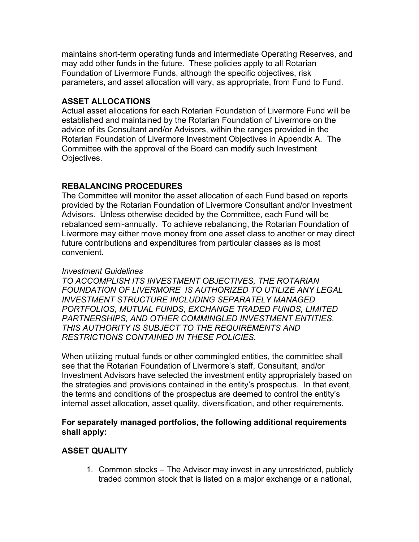maintains short-term operating funds and intermediate Operating Reserves, and may add other funds in the future. These policies apply to all Rotarian Foundation of Livermore Funds, although the specific objectives, risk parameters, and asset allocation will vary, as appropriate, from Fund to Fund.

# **ASSET ALLOCATIONS**

Actual asset allocations for each Rotarian Foundation of Livermore Fund will be established and maintained by the Rotarian Foundation of Livermore on the advice of its Consultant and/or Advisors, within the ranges provided in the Rotarian Foundation of Livermore Investment Objectives in Appendix A. The Committee with the approval of the Board can modify such Investment Objectives.

#### **REBALANCING PROCEDURES**

The Committee will monitor the asset allocation of each Fund based on reports provided by the Rotarian Foundation of Livermore Consultant and/or Investment Advisors. Unless otherwise decided by the Committee, each Fund will be rebalanced semi-annually. To achieve rebalancing, the Rotarian Foundation of Livermore may either move money from one asset class to another or may direct future contributions and expenditures from particular classes as is most convenient.

#### *Investment Guidelines*

*TO ACCOMPLISH ITS INVESTMENT OBJECTIVES, THE ROTARIAN FOUNDATION OF LIVERMORE IS AUTHORIZED TO UTILIZE ANY LEGAL INVESTMENT STRUCTURE INCLUDING SEPARATELY MANAGED PORTFOLIOS, MUTUAL FUNDS, EXCHANGE TRADED FUNDS, LIMITED PARTNERSHIPS, AND OTHER COMMINGLED INVESTMENT ENTITIES. THIS AUTHORITY IS SUBJECT TO THE REQUIREMENTS AND RESTRICTIONS CONTAINED IN THESE POLICIES.*

When utilizing mutual funds or other commingled entities, the committee shall see that the Rotarian Foundation of Livermore's staff, Consultant, and/or Investment Advisors have selected the investment entity appropriately based on the strategies and provisions contained in the entity's prospectus. In that event, the terms and conditions of the prospectus are deemed to control the entity's internal asset allocation, asset quality, diversification, and other requirements.

#### **For separately managed portfolios, the following additional requirements shall apply:**

# **ASSET QUALITY**

1. Common stocks – The Advisor may invest in any unrestricted, publicly traded common stock that is listed on a major exchange or a national,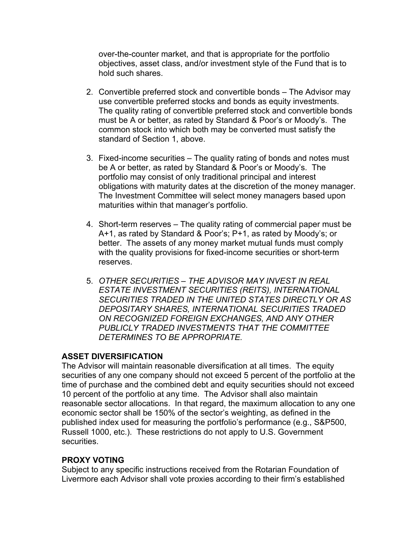over-the-counter market, and that is appropriate for the portfolio objectives, asset class, and/or investment style of the Fund that is to hold such shares.

- 2. Convertible preferred stock and convertible bonds The Advisor may use convertible preferred stocks and bonds as equity investments. The quality rating of convertible preferred stock and convertible bonds must be A or better, as rated by Standard & Poor's or Moody's. The common stock into which both may be converted must satisfy the standard of Section 1, above.
- 3. Fixed-income securities The quality rating of bonds and notes must be A or better, as rated by Standard & Poor's or Moody's. The portfolio may consist of only traditional principal and interest obligations with maturity dates at the discretion of the money manager. The Investment Committee will select money managers based upon maturities within that manager's portfolio.
- 4. Short-term reserves The quality rating of commercial paper must be A+1, as rated by Standard & Poor's; P+1, as rated by Moody's; or better. The assets of any money market mutual funds must comply with the quality provisions for fixed-income securities or short-term reserves.
- 5. *OTHER SECURITIES – THE ADVISOR MAY INVEST IN REAL ESTATE INVESTMENT SECURITIES (REITS), INTERNATIONAL SECURITIES TRADED IN THE UNITED STATES DIRECTLY OR AS DEPOSITARY SHARES, INTERNATIONAL SECURITIES TRADED ON RECOGNIZED FOREIGN EXCHANGES, AND ANY OTHER PUBLICLY TRADED INVESTMENTS THAT THE COMMITTEE DETERMINES TO BE APPROPRIATE.*

# **ASSET DIVERSIFICATION**

The Advisor will maintain reasonable diversification at all times. The equity securities of any one company should not exceed 5 percent of the portfolio at the time of purchase and the combined debt and equity securities should not exceed 10 percent of the portfolio at any time. The Advisor shall also maintain reasonable sector allocations. In that regard, the maximum allocation to any one economic sector shall be 150% of the sector's weighting, as defined in the published index used for measuring the portfolio's performance (e.g., S&P500, Russell 1000, etc.). These restrictions do not apply to U.S. Government securities.

# **PROXY VOTING**

Subject to any specific instructions received from the Rotarian Foundation of Livermore each Advisor shall vote proxies according to their firm's established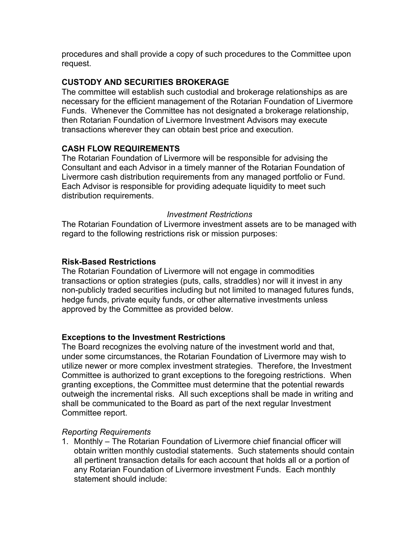procedures and shall provide a copy of such procedures to the Committee upon request.

#### **CUSTODY AND SECURITIES BROKERAGE**

The committee will establish such custodial and brokerage relationships as are necessary for the efficient management of the Rotarian Foundation of Livermore Funds. Whenever the Committee has not designated a brokerage relationship, then Rotarian Foundation of Livermore Investment Advisors may execute transactions wherever they can obtain best price and execution.

#### **CASH FLOW REQUIREMENTS**

The Rotarian Foundation of Livermore will be responsible for advising the Consultant and each Advisor in a timely manner of the Rotarian Foundation of Livermore cash distribution requirements from any managed portfolio or Fund. Each Advisor is responsible for providing adequate liquidity to meet such distribution requirements.

#### *Investment Restrictions*

The Rotarian Foundation of Livermore investment assets are to be managed with regard to the following restrictions risk or mission purposes:

#### **Risk-Based Restrictions**

The Rotarian Foundation of Livermore will not engage in commodities transactions or option strategies (puts, calls, straddles) nor will it invest in any non-publicly traded securities including but not limited to managed futures funds, hedge funds, private equity funds, or other alternative investments unless approved by the Committee as provided below.

#### **Exceptions to the Investment Restrictions**

The Board recognizes the evolving nature of the investment world and that, under some circumstances, the Rotarian Foundation of Livermore may wish to utilize newer or more complex investment strategies. Therefore, the Investment Committee is authorized to grant exceptions to the foregoing restrictions. When granting exceptions, the Committee must determine that the potential rewards outweigh the incremental risks. All such exceptions shall be made in writing and shall be communicated to the Board as part of the next regular Investment Committee report.

#### *Reporting Requirements*

1. Monthly – The Rotarian Foundation of Livermore chief financial officer will obtain written monthly custodial statements. Such statements should contain all pertinent transaction details for each account that holds all or a portion of any Rotarian Foundation of Livermore investment Funds. Each monthly statement should include: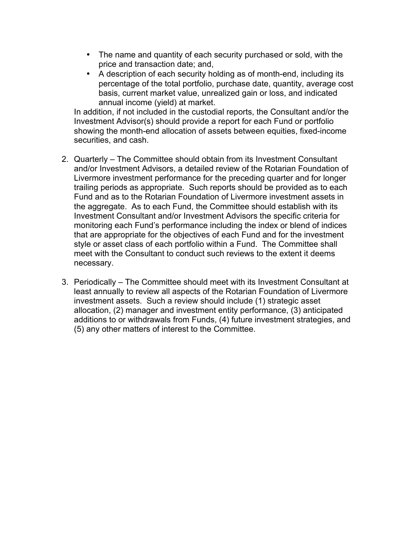- The name and quantity of each security purchased or sold, with the price and transaction date; and,
- A description of each security holding as of month-end, including its percentage of the total portfolio, purchase date, quantity, average cost basis, current market value, unrealized gain or loss, and indicated annual income (yield) at market.

In addition, if not included in the custodial reports, the Consultant and/or the Investment Advisor(s) should provide a report for each Fund or portfolio showing the month-end allocation of assets between equities, fixed-income securities, and cash.

- 2. Quarterly The Committee should obtain from its Investment Consultant and/or Investment Advisors, a detailed review of the Rotarian Foundation of Livermore investment performance for the preceding quarter and for longer trailing periods as appropriate. Such reports should be provided as to each Fund and as to the Rotarian Foundation of Livermore investment assets in the aggregate. As to each Fund, the Committee should establish with its Investment Consultant and/or Investment Advisors the specific criteria for monitoring each Fund's performance including the index or blend of indices that are appropriate for the objectives of each Fund and for the investment style or asset class of each portfolio within a Fund. The Committee shall meet with the Consultant to conduct such reviews to the extent it deems necessary.
- 3. Periodically The Committee should meet with its Investment Consultant at least annually to review all aspects of the Rotarian Foundation of Livermore investment assets. Such a review should include (1) strategic asset allocation, (2) manager and investment entity performance, (3) anticipated additions to or withdrawals from Funds, (4) future investment strategies, and (5) any other matters of interest to the Committee.